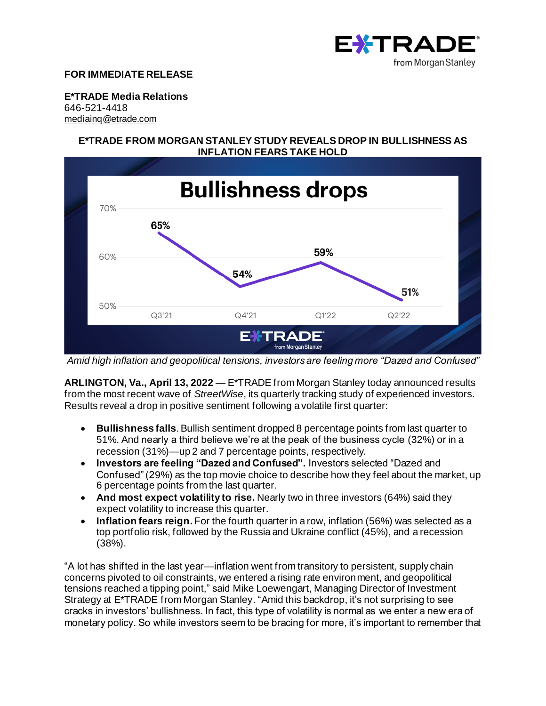

## **FOR IMMEDIATE RELEASE**

**E\*TRADE Media Relations** 646-521-4418 [mediainq@etrade.com](mailto:mediainq@etrade.com)

## **E\*TRADE FROM MORGAN STANLEY STUDY REVEALS DROP IN BULLISHNESS AS INFLATION FEARS TAKE HOLD**



*Amid high inflation and geopolitical tensions, investors are feeling more "Dazed and Confused"*

**ARLINGTON, Va., April 13, 2022** — E\*TRADE from Morgan Stanley today announced results from the most recent wave of *StreetWise*, its quarterly tracking study of experienced investors. Results reveal a drop in positive sentiment following a volatile first quarter:

- **Bullishness falls**. Bullish sentiment dropped 8 percentage points from last quarter to 51%. And nearly a third believe we're at the peak of the business cycle (32%) or in a recession (31%)—up 2 and 7 percentage points, respectively.
- **Investors are feeling "Dazed and Confused".** Investors selected "Dazed and Confused" (29%) as the top movie choice to describe how they feel about the market, up 6 percentage points from the last quarter.
- And most expect volatility to rise. Nearly two in three investors (64%) said they expect volatility to increase this quarter.
- **Inflation fears reign.** For the fourth quarter in a row, inflation (56%) was selected as a top portfolio risk, followed by the Russia and Ukraine conflict (45%), and a recession (38%).

"A lot has shifted in the last year—inflation went from transitory to persistent, supply chain concerns pivoted to oil constraints, we entered a rising rate environment, and geopolitical tensions reached a tipping point," said Mike Loewengart, Managing Director of Investment Strategy at E\*TRADE from Morgan Stanley. "Amid this backdrop, it's not surprising to see cracks in investors' bullishness. In fact, this type of volatility is normal as we enter a new era of monetary policy. So while investors seem to be bracing for more, it's important to remember that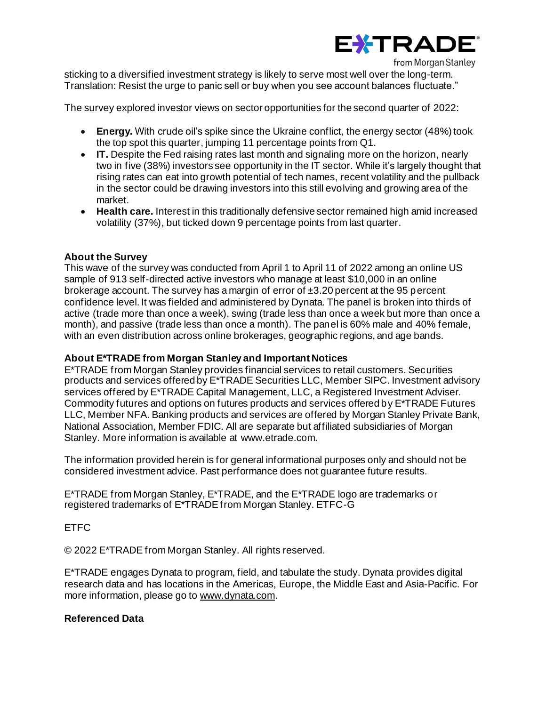

from Morgan Stanley

sticking to a diversified investment strategy is likely to serve most well over the long-term. Translation: Resist the urge to panic sell or buy when you see account balances fluctuate."

The survey explored investor views on sector opportunities for the second quarter of 2022:

- **Energy.** With crude oil's spike since the Ukraine conflict, the energy sector (48%) took the top spot this quarter, jumping 11 percentage points from Q1.
- **IT.** Despite the Fed raising rates last month and signaling more on the horizon, nearly two in five (38%) investors see opportunity in the IT sector. While it's largely thought that rising rates can eat into growth potential of tech names, recent volatility and the pullback in the sector could be drawing investors into this still evolving and growing area of the market.
- **Health care.** Interest in this traditionally defensive sector remained high amid increased volatility (37%), but ticked down 9 percentage points from last quarter.

## **About the Survey**

This wave of the survey was conducted from April 1 to April 11 of 2022 among an online US sample of 913 self-directed active investors who manage at least \$10,000 in an online brokerage account. The survey has a margin of error of  $\pm 3.20$  percent at the 95 percent confidence level. It was fielded and administered by Dynata. The panel is broken into thirds of active (trade more than once a week), swing (trade less than once a week but more than once a month), and passive (trade less than once a month). The panel is 60% male and 40% female, with an even distribution across online brokerages, geographic regions, and age bands.

# **About E\*TRADE from Morgan Stanley and Important Notices**

E\*TRADE from Morgan Stanley provides financial services to retail customers. Securities products and services offered by E\*TRADE Securities LLC, Member SIPC. Investment advisory services offered by E\*TRADE Capital Management, LLC, a Registered Investment Adviser. Commodity futures and options on futures products and services offered by E\*TRADE Futures LLC, Member NFA. Banking products and services are offered by Morgan Stanley Private Bank, National Association, Member FDIC. All are separate but affiliated subsidiaries of Morgan Stanley. More information is available at www.etrade.com.

The information provided herein is for general informational purposes only and should not be considered investment advice. Past performance does not guarantee future results.

E\*TRADE from Morgan Stanley, E\*TRADE, and the E\*TRADE logo are trademarks or registered trademarks of E\*TRADE from Morgan Stanley. ETFC-G

ETFC

© 2022 E\*TRADE from Morgan Stanley. All rights reserved.

E\*TRADE engages Dynata to program, field, and tabulate the study. Dynata provides digital research data and has locations in the Americas, Europe, the Middle East and Asia-Pacific. For more information, please go t[o www.dynata.com.](http://www.dynata.com/)

## **Referenced Data**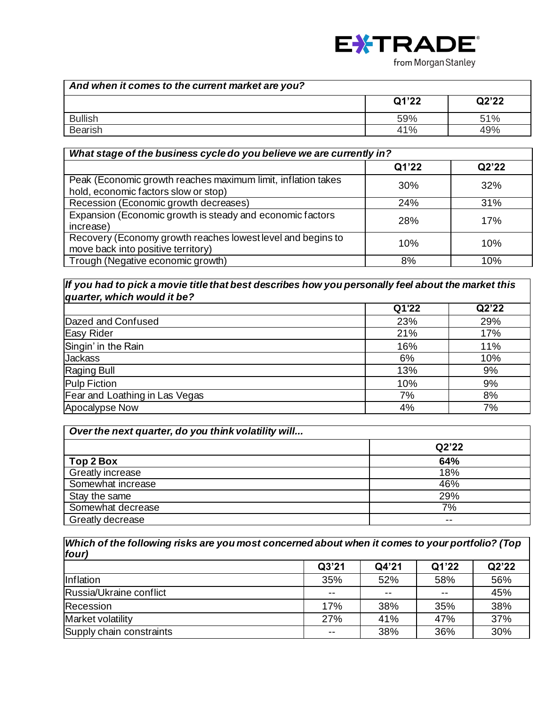

| And when it comes to the current market are you? |       |       |  |
|--------------------------------------------------|-------|-------|--|
|                                                  | Q1'22 | Q2'22 |  |
| <b>Bullish</b>                                   | 59%   | 51%   |  |
| Bearish                                          | 41%   | 49%   |  |

| What stage of the business cycle do you believe we are currently in?                                 |       |       |  |
|------------------------------------------------------------------------------------------------------|-------|-------|--|
|                                                                                                      | Q1'22 | Q2'22 |  |
| Peak (Economic growth reaches maximum limit, inflation takes<br>hold, economic factors slow or stop) | 30%   | 32%   |  |
| Recession (Economic growth decreases)                                                                | 24%   | 31%   |  |
| Expansion (Economic growth is steady and economic factors<br>increase)                               | 28%   | 17%   |  |
| Recovery (Economy growth reaches lowest level and begins to<br>move back into positive territory)    | 10%   | 10%   |  |
| Trough (Negative economic growth)                                                                    | 8%    | 10%   |  |

# *If you had to pick a movie title that best describes how you personally feel about the market this quarter, which would it be?*

|                                | Q1'22 | Q2'22 |
|--------------------------------|-------|-------|
| Dazed and Confused             | 23%   | 29%   |
| Easy Rider                     | 21%   | 17%   |
| Singin' in the Rain            | 16%   | 11%   |
| <b>Jackass</b>                 | 6%    | 10%   |
| Raging Bull                    | 13%   | 9%    |
| Pulp Fiction                   | 10%   | 9%    |
| Fear and Loathing in Las Vegas | 7%    | 8%    |
| Apocalypse Now                 | 4%    | 7%    |

| Over the next quarter, do you think volatility will |       |  |
|-----------------------------------------------------|-------|--|
|                                                     | Q2'22 |  |
| Top 2 Box                                           | 64%   |  |
| Greatly increase                                    | 18%   |  |
| Somewhat increase                                   | 46%   |  |
| Stay the same                                       | 29%   |  |
| Somewhat decrease                                   | 7%    |  |
| Greatly decrease                                    | $- -$ |  |

| Which of the following risks are you most concerned about when it comes to your portfolio? (Top<br>four) |       |               |       |       |
|----------------------------------------------------------------------------------------------------------|-------|---------------|-------|-------|
|                                                                                                          | Q3'21 | Q4'21         | Q1'22 | Q2'22 |
| Inflation                                                                                                | 35%   | 52%           | 58%   | 56%   |
| Russia/Ukraine conflict                                                                                  |       | $\sim$ $\sim$ |       | 45%   |
| Recession                                                                                                | 17%   | 38%           | 35%   | 38%   |
| Market volatility                                                                                        | 27%   | 41%           | 47%   | 37%   |
| Supply chain constraints                                                                                 |       | 38%           | 36%   | 30%   |